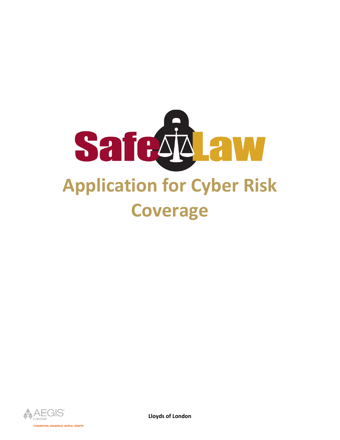



**Lloyds of London**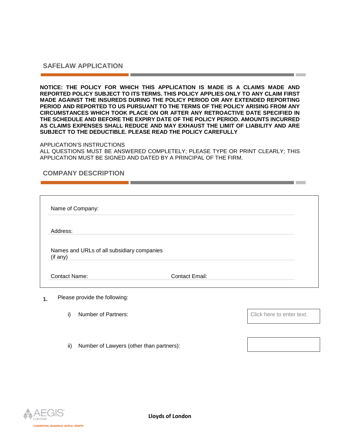## **SAFELAW APPLICATION**

**NOTICE: THE POLICY FOR WHICH THIS APPLICATION IS MADE IS A CLAIMS MADE AND REPORTED POLICY SUBJECT TO ITS TERMS. THIS POLICY APPLIES ONLY TO ANY CLAIM FIRST MADE AGAINST THE INSUREDS DURING THE POLICY PERIOD OR ANY EXTENDED REPORTING PERIOD AND REPORTED TO US PURSUANT TO THE TERMS OF THE POLICY ARISING FROM ANY CIRCUMSTANCES WHICH TOOK PLACE ON OR AFTER ANY RETROACTIVE DATE SPECIFIED IN THE SCHEDULE AND BEFORE THE EXPIRY DATE OF THE POLICY PERIOD. AMOUNTS INCURRED AS CLAIMS EXPENSES SHALL REDUCE AND MAY EXHAUST THE LIMIT OF LIABILITY AND ARE SUBJECT TO THE DEDUCTIBLE. PLEASE READ THE POLICY CAREFULLY**

## APPLICATION'S INSTRUCTIONS

ALL QUESTIONS MUST BE ANSWERED COMPLETELY; PLEASE TYPE OR PRINT CLEARLY; THIS APPLICATION MUST BE SIGNED AND DATED BY A PRINCIPAL OF THE FIRM.

## **COMPANY DESCRIPTION**

| Name of Company:                                       |                |  |
|--------------------------------------------------------|----------------|--|
| Address:                                               |                |  |
| Names and URLs of all subsidiary companies<br>(if any) |                |  |
| <b>Contact Name:</b>                                   | Contact Email: |  |

**1.** Please provide the following:

i) Number of Partners:  $\begin{array}{ccc} \hline \end{array}$  Number of Partners:

ii) Number of Lawyers (other than partners):

**MERCIAL ADVANTAGE. MUTUAL BENEFIT** 

the contract of the contract of the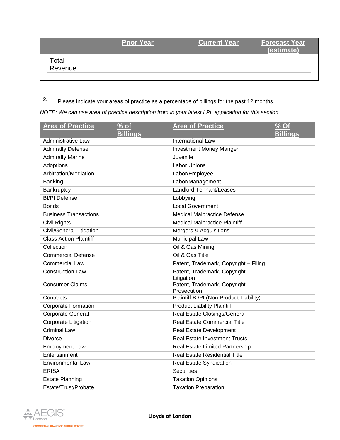|                  | <b>Prior Year</b> | <b>Current Year</b> | <b>Forecast Year</b><br>(estimate) |
|------------------|-------------------|---------------------|------------------------------------|
| Total<br>Revenue |                   |                     |                                    |
|                  |                   |                     |                                    |

**2.** Please indicate your areas of practice as a percentage of billings for the past 12 months.

*NOTE: We can use area of practice description from in your latest LPL application for this section*

| <b>Area of Practice</b>       | % of            | <b>Area of Practice</b>                    | % Of            |
|-------------------------------|-----------------|--------------------------------------------|-----------------|
|                               | <b>Billings</b> |                                            | <b>Billings</b> |
| Administrative Law            |                 | <b>International Law</b>                   |                 |
| <b>Admiralty Defense</b>      |                 | <b>Investment Money Manger</b>             |                 |
| <b>Admiralty Marine</b>       |                 | Juvenile                                   |                 |
| Adoptions                     |                 | <b>Labor Unions</b>                        |                 |
| Arbitration/Mediation         |                 | Labor/Employee                             |                 |
| Banking                       |                 | Labor/Management                           |                 |
| Bankruptcy                    |                 | <b>Landlord Tennant/Leases</b>             |                 |
| <b>BI/PI Defense</b>          |                 | Lobbying                                   |                 |
| <b>Bonds</b>                  |                 | <b>Local Government</b>                    |                 |
| <b>Business Transactions</b>  |                 | <b>Medical Malpractice Defense</b>         |                 |
| Civil Rights                  |                 | <b>Medical Malpractice Plaintiff</b>       |                 |
| Civil/General Litigation      |                 | Mergers & Acquisitions                     |                 |
| <b>Class Action Plaintiff</b> |                 | <b>Municipal Law</b>                       |                 |
| Collection                    |                 | Oil & Gas Mining                           |                 |
| <b>Commercial Defense</b>     |                 | Oil & Gas Title                            |                 |
| <b>Commercial Law</b>         |                 | Patent, Trademark, Copyright - Filing      |                 |
| <b>Construction Law</b>       |                 | Patent, Trademark, Copyright<br>Litigation |                 |
| <b>Consumer Claims</b>        |                 | Patent, Trademark, Copyright               |                 |
|                               |                 | Prosecution                                |                 |
| Contracts                     |                 | Plaintiff BI/PI (Non Product Liability)    |                 |
| <b>Corporate Formation</b>    |                 | <b>Product Liability Plaintiff</b>         |                 |
| <b>Corporate General</b>      |                 | <b>Real Estate Closings/General</b>        |                 |
| Corporate Litigation          |                 | <b>Real Estate Commercial Title</b>        |                 |
| <b>Criminal Law</b>           |                 | <b>Real Estate Development</b>             |                 |
| <b>Divorce</b>                |                 | <b>Real Estate Investment Trusts</b>       |                 |
| <b>Employment Law</b>         |                 | Real Estate Limited Partnership            |                 |
| Entertainment                 |                 | <b>Real Estate Residential Title</b>       |                 |
| <b>Environmental Law</b>      |                 | Real Estate Syndication                    |                 |
| <b>ERISA</b>                  |                 | <b>Securities</b>                          |                 |
| <b>Estate Planning</b>        |                 | <b>Taxation Opinions</b>                   |                 |
| Estate/Trust/Probate          |                 | <b>Taxation Preparation</b>                |                 |

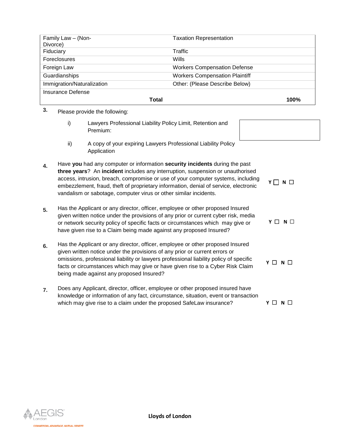| Family Law - (Non-<br>Divorce) | <b>Taxation Representation</b>        |      |
|--------------------------------|---------------------------------------|------|
| Fiduciary                      | Traffic                               |      |
| Foreclosures                   | Wills                                 |      |
| Foreign Law                    | <b>Workers Compensation Defense</b>   |      |
| Guardianships                  | <b>Workers Compensation Plaintiff</b> |      |
| Immigration/Naturalization     | Other: (Please Describe Below)        |      |
| Insurance Defense              |                                       |      |
|                                | Total                                 | 100% |

**3.** Please provide the following:

| Lawyers Professional Liability Policy Limit, Retention and |
|------------------------------------------------------------|
| Premium:                                                   |

ii) A copy of your expiring Lawyers Professional Liability Policy Application

**4.** Have **you** had any computer or information **security incidents** during the past **three years**? An **incident** includes any interruption, suspension or unauthorised access, intrusion, breach, compromise or use of your computer systems, including embezzlement, fraud, theft of proprietary information, denial of service, electronic vandalism or sabotage, computer virus or other similar incidents. **Y □ N** □

| 5. | Has the Applicant or any director, officer, employee or other proposed Insured      |                 |  |  |
|----|-------------------------------------------------------------------------------------|-----------------|--|--|
|    | given written notice under the provisions of any prior or current cyber risk, media |                 |  |  |
|    | or network security policy of specific facts or circumstances which may give or     | $Y \Box N \Box$ |  |  |
|    | have given rise to a Claim being made against any proposed Insured?                 |                 |  |  |

- **6.** Has the Applicant or any director, officer, employee or other proposed Insured given written notice under the provisions of any prior or current errors or omissions, professional liability or lawyers professional liability policy of specific facts or circumstances which may give or have given rise to a Cyber Risk Claim being made against any proposed Insured? **Y** ☐ **N** ☐
- **7.** Does any Applicant, director, officer, employee or other proposed insured have knowledge or information of any fact, circumstance, situation, event or transaction which may give rise to a claim under the proposed SafeLaw insurance? **Y** □ N □